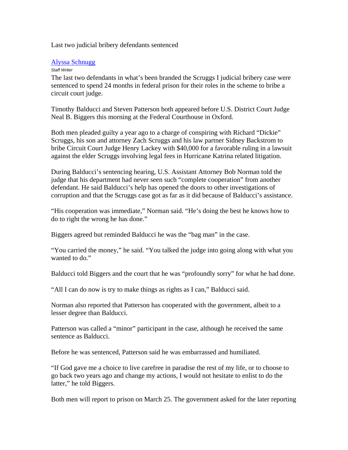Last two judicial bribery defendants sentenced

## [Alyssa Schnugg](mailto:%20alyssa@oxfordeagle.com)

## *Staff Writer*

The last two defendants in what's been branded the Scruggs I judicial bribery case were sentenced to spend 24 months in federal prison for their roles in the scheme to bribe a circuit court judge.

Timothy Balducci and Steven Patterson both appeared before U.S. District Court Judge Neal B. Biggers this morning at the Federal Courthouse in Oxford.

Both men pleaded guilty a year ago to a charge of conspiring with Richard "Dickie" Scruggs, his son and attorney Zach Scruggs and his law partner Sidney Backstrom to bribe Circuit Court Judge Henry Lackey with \$40,000 for a favorable ruling in a lawsuit against the elder Scruggs involving legal fees in Hurricane Katrina related litigation.

During Balducci's sentencing hearing, U.S. Assistant Attorney Bob Norman told the judge that his department had never seen such "complete cooperation" from another defendant. He said Balducci's help has opened the doors to other investigations of corruption and that the Scruggs case got as far as it did because of Balducci's assistance.

"His cooperation was immediate," Norman said. "He's doing the best he knows how to do to right the wrong he has done."

Biggers agreed but reminded Balducci he was the "bag man" in the case.

"You carried the money," he said. "You talked the judge into going along with what you wanted to do."

Balducci told Biggers and the court that he was "profoundly sorry" for what he had done.

"All I can do now is try to make things as rights as I can," Balducci said.

Norman also reported that Patterson has cooperated with the government, albeit to a lesser degree than Balducci.

Patterson was called a "minor" participant in the case, although he received the same sentence as Balducci.

Before he was sentenced, Patterson said he was embarrassed and humiliated.

"If God gave me a choice to live carefree in paradise the rest of my life, or to choose to go back two years ago and change my actions, I would not hesitate to enlist to do the latter," he told Biggers.

Both men will report to prison on March 25. The government asked for the later reporting